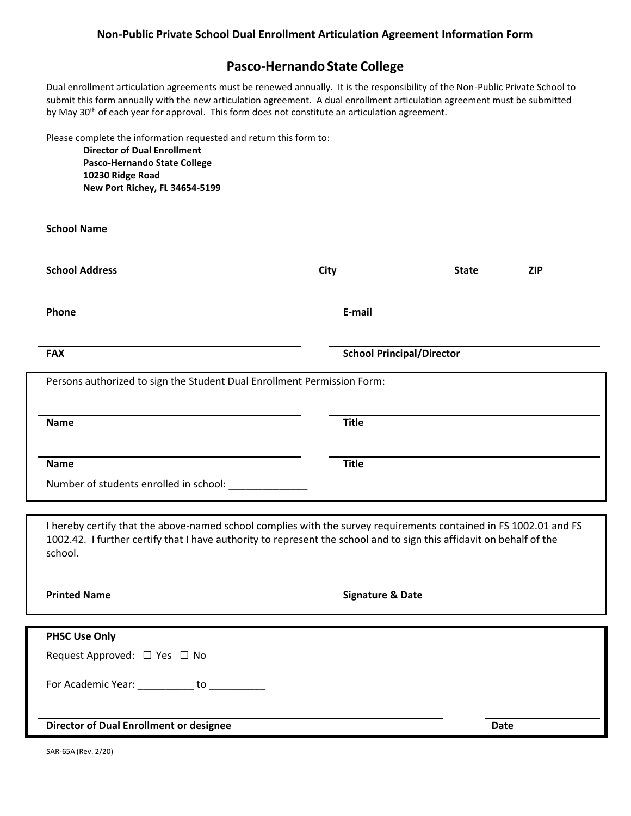### **Pasco-HernandoState College**

Dual enrollment articulation agreements must be renewed annually. It is the responsibility of the Non-Public Private School to submit this form annually with the new articulation agreement. A dual enrollment articulation agreement must be submitted by May 30<sup>th</sup> of each year for approval. This form does not constitute an articulation agreement.

Please complete the information requested and return this form to:

**Director of Dual Enrollment Pasco-Hernando State College 10230 Ridge Road New Port Richey, FL 34654-5199**

| <b>School Name</b>                                                                                                                                                                                                                                   |              |                                  |            |
|------------------------------------------------------------------------------------------------------------------------------------------------------------------------------------------------------------------------------------------------------|--------------|----------------------------------|------------|
| <b>School Address</b>                                                                                                                                                                                                                                | <b>City</b>  | <b>State</b>                     | <b>ZIP</b> |
| Phone                                                                                                                                                                                                                                                | E-mail       |                                  |            |
| <b>FAX</b>                                                                                                                                                                                                                                           |              | <b>School Principal/Director</b> |            |
| Persons authorized to sign the Student Dual Enrollment Permission Form:                                                                                                                                                                              |              |                                  |            |
| <b>Name</b>                                                                                                                                                                                                                                          | <b>Title</b> |                                  |            |
| <b>Name</b>                                                                                                                                                                                                                                          | <b>Title</b> |                                  |            |
|                                                                                                                                                                                                                                                      |              |                                  |            |
|                                                                                                                                                                                                                                                      |              |                                  |            |
| I hereby certify that the above-named school complies with the survey requirements contained in FS 1002.01 and FS<br>1002.42. I further certify that I have authority to represent the school and to sign this affidavit on behalf of the<br>school. |              |                                  |            |

| <b>PHSC Use Only</b>                           |             |
|------------------------------------------------|-------------|
| Request Approved: □ Yes □ No                   |             |
| For Academic Year: to                          |             |
| <b>Director of Dual Enrollment or designee</b> | <b>Date</b> |

**Printed Name Signature & Date** 

SAR-65A (Rev. 2/20)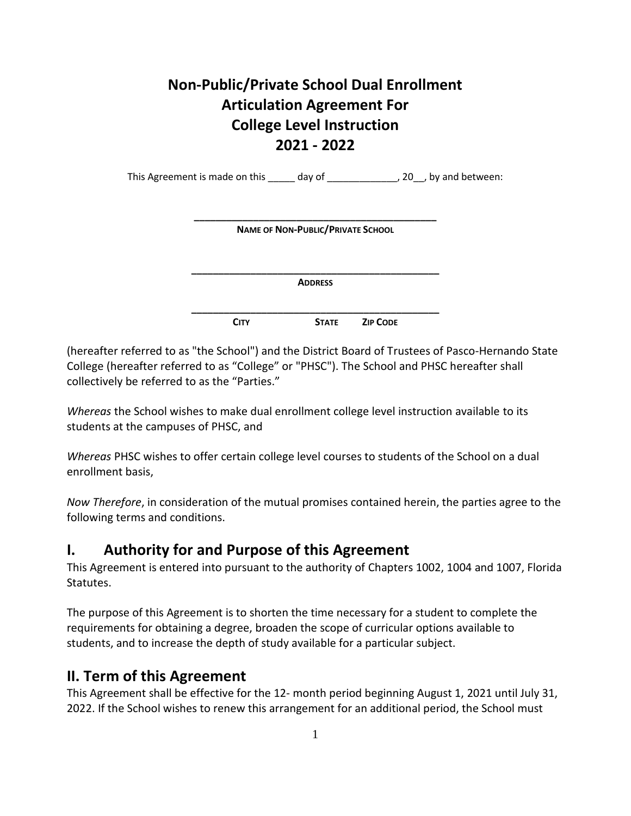# **Non-Public/Private School Dual Enrollment Articulation Agreement For College Level Instruction 2021 - 2022**

This Agreement is made on this \_\_\_\_\_\_ day of \_\_\_\_\_\_\_\_\_\_\_\_\_\_, 20\_\_, by and between:

| <b>NAME OF NON-PUBLIC/PRIVATE SCHOOL</b> |  |
|------------------------------------------|--|
|                                          |  |
|                                          |  |
| <b>ADDRESS</b>                           |  |

(hereafter referred to as "the School") and the District Board of Trustees of Pasco-Hernando State College (hereafter referred to as "College" or "PHSC"). The School and PHSC hereafter shall collectively be referred to as the "Parties."

*Whereas* the School wishes to make dual enrollment college level instruction available to its students at the campuses of PHSC, and

*Whereas* PHSC wishes to offer certain college level courses to students of the School on a dual enrollment basis,

*Now Therefore*, in consideration of the mutual promises contained herein, the parties agree to the following terms and conditions.

## **I. Authority for and Purpose of this Agreement**

This Agreement is entered into pursuant to the authority of Chapters 1002, 1004 and 1007, Florida Statutes.

The purpose of this Agreement is to shorten the time necessary for a student to complete the requirements for obtaining a degree, broaden the scope of curricular options available to students, and to increase the depth of study available for a particular subject.

## **II. Term of this Agreement**

This Agreement shall be effective for the 12- month period beginning August 1, 2021 until July 31, 2022. If the School wishes to renew this arrangement for an additional period, the School must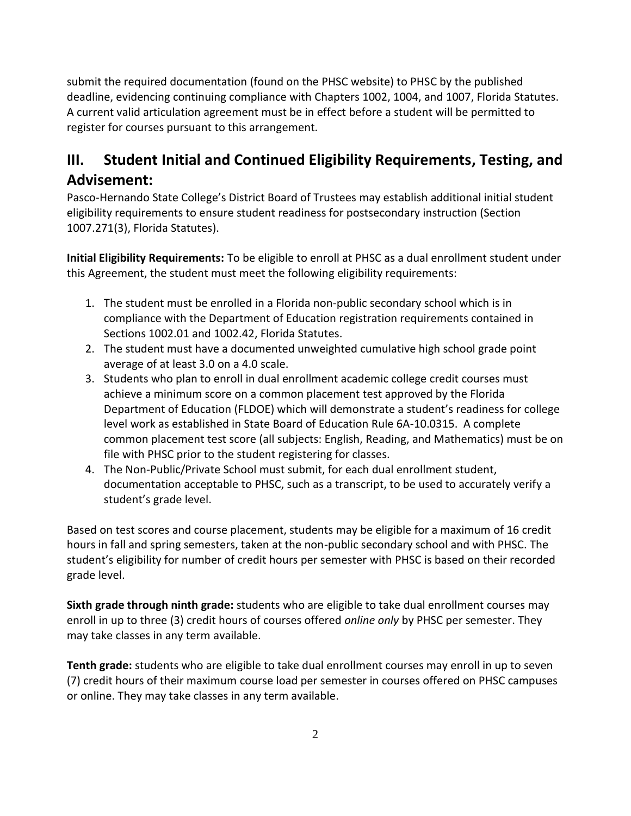submit the required documentation (found on the PHSC website) to PHSC by the published deadline, evidencing continuing compliance with Chapters 1002, 1004, and 1007, Florida Statutes. A current valid articulation agreement must be in effect before a student will be permitted to register for courses pursuant to this arrangement.

# **III. Student Initial and Continued Eligibility Requirements, Testing, and Advisement:**

Pasco-Hernando State College's District Board of Trustees may establish additional initial student eligibility requirements to ensure student readiness for postsecondary instruction (Section 1007.271(3), Florida Statutes).

**Initial Eligibility Requirements:** To be eligible to enroll at PHSC as a dual enrollment student under this Agreement, the student must meet the following eligibility requirements:

- 1. The student must be enrolled in a Florida non-public secondary school which is in compliance with the Department of Education registration requirements contained in Sections 1002.01 and 1002.42, Florida Statutes.
- 2. The student must have a documented unweighted cumulative high school grade point average of at least 3.0 on a 4.0 scale.
- 3. Students who plan to enroll in dual enrollment academic college credit courses must achieve a minimum score on a common placement test approved by the Florida Department of Education (FLDOE) which will demonstrate a student's readiness for college level work as established in State Board of Education Rule 6A-10.0315. A complete common placement test score (all subjects: English, Reading, and Mathematics) must be on file with PHSC prior to the student registering for classes.
- 4. The Non-Public/Private School must submit, for each dual enrollment student, documentation acceptable to PHSC, such as a transcript, to be used to accurately verify a student's grade level.

Based on test scores and course placement, students may be eligible for a maximum of 16 credit hours in fall and spring semesters, taken at the non-public secondary school and with PHSC. The student's eligibility for number of credit hours per semester with PHSC is based on their recorded grade level.

**Sixth grade through ninth grade:** students who are eligible to take dual enrollment courses may enroll in up to three (3) credit hours of courses offered *online only* by PHSC per semester. They may take classes in any term available.

**Tenth grade:** students who are eligible to take dual enrollment courses may enroll in up to seven (7) credit hours of their maximum course load per semester in courses offered on PHSC campuses or online. They may take classes in any term available.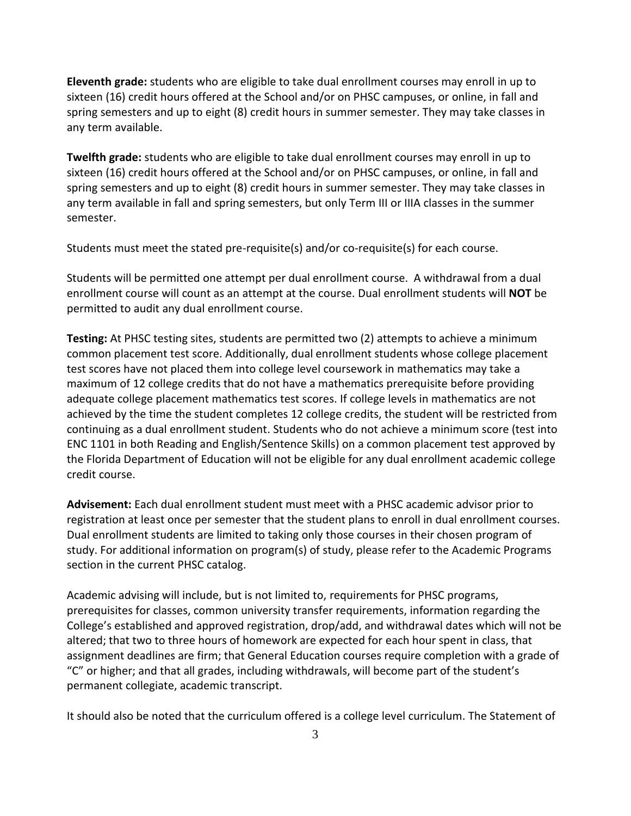**Eleventh grade:** students who are eligible to take dual enrollment courses may enroll in up to sixteen (16) credit hours offered at the School and/or on PHSC campuses, or online, in fall and spring semesters and up to eight (8) credit hours in summer semester. They may take classes in any term available.

**Twelfth grade:** students who are eligible to take dual enrollment courses may enroll in up to sixteen (16) credit hours offered at the School and/or on PHSC campuses, or online, in fall and spring semesters and up to eight (8) credit hours in summer semester. They may take classes in any term available in fall and spring semesters, but only Term III or IIIA classes in the summer semester.

Students must meet the stated pre-requisite(s) and/or co-requisite(s) for each course.

Students will be permitted one attempt per dual enrollment course. A withdrawal from a dual enrollment course will count as an attempt at the course. Dual enrollment students will **NOT** be permitted to audit any dual enrollment course.

**Testing:** At PHSC testing sites, students are permitted two (2) attempts to achieve a minimum common placement test score. Additionally, dual enrollment students whose college placement test scores have not placed them into college level coursework in mathematics may take a maximum of 12 college credits that do not have a mathematics prerequisite before providing adequate college placement mathematics test scores. If college levels in mathematics are not achieved by the time the student completes 12 college credits, the student will be restricted from continuing as a dual enrollment student. Students who do not achieve a minimum score (test into ENC 1101 in both Reading and English/Sentence Skills) on a common placement test approved by the Florida Department of Education will not be eligible for any dual enrollment academic college credit course.

**Advisement:** Each dual enrollment student must meet with a PHSC academic advisor prior to registration at least once per semester that the student plans to enroll in dual enrollment courses. Dual enrollment students are limited to taking only those courses in their chosen program of study. For additional information on program(s) of study, please refer to the Academic Programs section in the current PHSC catalog.

Academic advising will include, but is not limited to, requirements for PHSC programs, prerequisites for classes, common university transfer requirements, information regarding the College's established and approved registration, drop/add, and withdrawal dates which will not be altered; that two to three hours of homework are expected for each hour spent in class, that assignment deadlines are firm; that General Education courses require completion with a grade of "C" or higher; and that all grades, including withdrawals, will become part of the student's permanent collegiate, academic transcript.

It should also be noted that the curriculum offered is a college level curriculum. The Statement of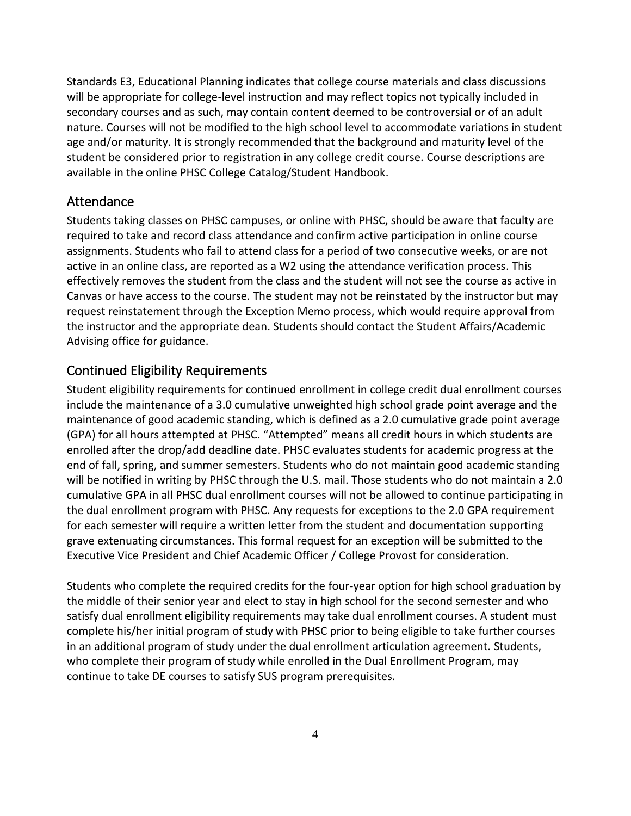Standards E3, Educational Planning indicates that college course materials and class discussions will be appropriate for college-level instruction and may reflect topics not typically included in secondary courses and as such, may contain content deemed to be controversial or of an adult nature. Courses will not be modified to the high school level to accommodate variations in student age and/or maturity. It is strongly recommended that the background and maturity level of the student be considered prior to registration in any college credit course. Course descriptions are available in the online PHSC College Catalog/Student Handbook.

#### Attendance

Students taking classes on PHSC campuses, or online with PHSC, should be aware that faculty are required to take and record class attendance and confirm active participation in online course assignments. Students who fail to attend class for a period of two consecutive weeks, or are not active in an online class, are reported as a W2 using the attendance verification process. This effectively removes the student from the class and the student will not see the course as active in Canvas or have access to the course. The student may not be reinstated by the instructor but may request reinstatement through the Exception Memo process, which would require approval from the instructor and the appropriate dean. Students should contact the Student Affairs/Academic Advising office for guidance.

#### Continued Eligibility Requirements

Student eligibility requirements for continued enrollment in college credit dual enrollment courses include the maintenance of a 3.0 cumulative unweighted high school grade point average and the maintenance of good academic standing, which is defined as a 2.0 cumulative grade point average (GPA) for all hours attempted at PHSC. "Attempted" means all credit hours in which students are enrolled after the drop/add deadline date. PHSC evaluates students for academic progress at the end of fall, spring, and summer semesters. Students who do not maintain good academic standing will be notified in writing by PHSC through the U.S. mail. Those students who do not maintain a 2.0 cumulative GPA in all PHSC dual enrollment courses will not be allowed to continue participating in the dual enrollment program with PHSC. Any requests for exceptions to the 2.0 GPA requirement for each semester will require a written letter from the student and documentation supporting grave extenuating circumstances. This formal request for an exception will be submitted to the Executive Vice President and Chief Academic Officer / College Provost for consideration.

Students who complete the required credits for the four-year option for high school graduation by the middle of their senior year and elect to stay in high school for the second semester and who satisfy dual enrollment eligibility requirements may take dual enrollment courses. A student must complete his/her initial program of study with PHSC prior to being eligible to take further courses in an additional program of study under the dual enrollment articulation agreement. Students, who complete their program of study while enrolled in the Dual Enrollment Program, may continue to take DE courses to satisfy SUS program prerequisites.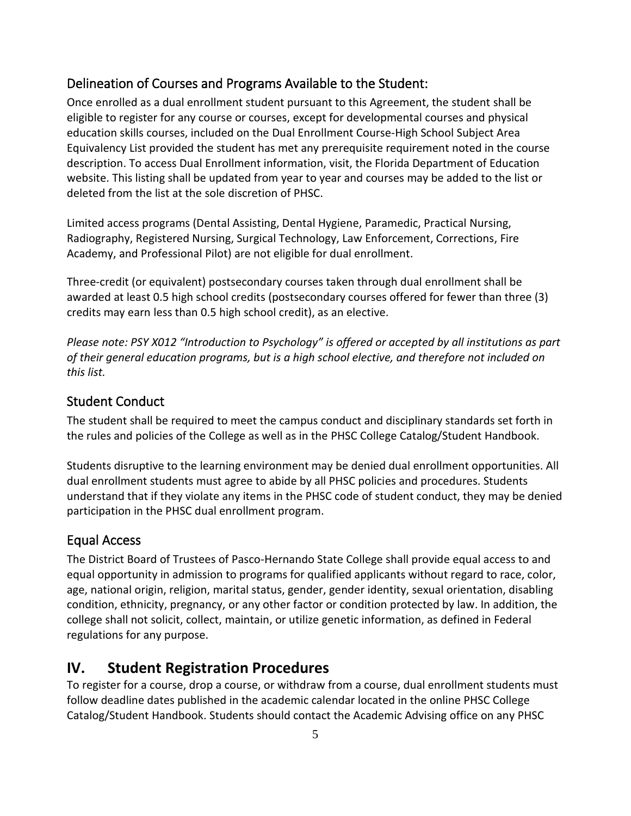### Delineation of Courses and Programs Available to the Student:

Once enrolled as a dual enrollment student pursuant to this Agreement, the student shall be eligible to register for any course or courses, except for developmental courses and physical education skills courses, included on the Dual Enrollment Course-High School Subject Area Equivalency List provided the student has met any prerequisite requirement noted in the course description. To access Dual Enrollment information, visit, the Florida Department of Education website. This listing shall be updated from year to year and courses may be added to the list or deleted from the list at the sole discretion of PHSC.

Limited access programs (Dental Assisting, Dental Hygiene, Paramedic, Practical Nursing, Radiography, Registered Nursing, Surgical Technology, Law Enforcement, Corrections, Fire Academy, and Professional Pilot) are not eligible for dual enrollment.

Three-credit (or equivalent) postsecondary courses taken through dual enrollment shall be awarded at least 0.5 high school credits (postsecondary courses offered for fewer than three (3) credits may earn less than 0.5 high school credit), as an elective.

*Please note: PSY X012 "Introduction to Psychology" is offered or accepted by all institutions as part of their general education programs, but is a high school elective, and therefore not included on this list.*

### Student Conduct

The student shall be required to meet the campus conduct and disciplinary standards set forth in the rules and policies of the College as well as in the PHSC College Catalog/Student Handbook.

Students disruptive to the learning environment may be denied dual enrollment opportunities. All dual enrollment students must agree to abide by all PHSC policies and procedures. Students understand that if they violate any items in the PHSC code of student conduct, they may be denied participation in the PHSC dual enrollment program.

### Equal Access

The District Board of Trustees of Pasco-Hernando State College shall provide equal access to and equal opportunity in admission to programs for qualified applicants without regard to race, color, age, national origin, religion, marital status, gender, gender identity, sexual orientation, disabling condition, ethnicity, pregnancy, or any other factor or condition protected by law. In addition, the college shall not solicit, collect, maintain, or utilize genetic information, as defined in Federal regulations for any purpose.

## **IV. Student Registration Procedures**

To register for a course, drop a course, or withdraw from a course, dual enrollment students must follow deadline dates published in the academic calendar located in the online PHSC College Catalog/Student Handbook. Students should contact the Academic Advising office on any PHSC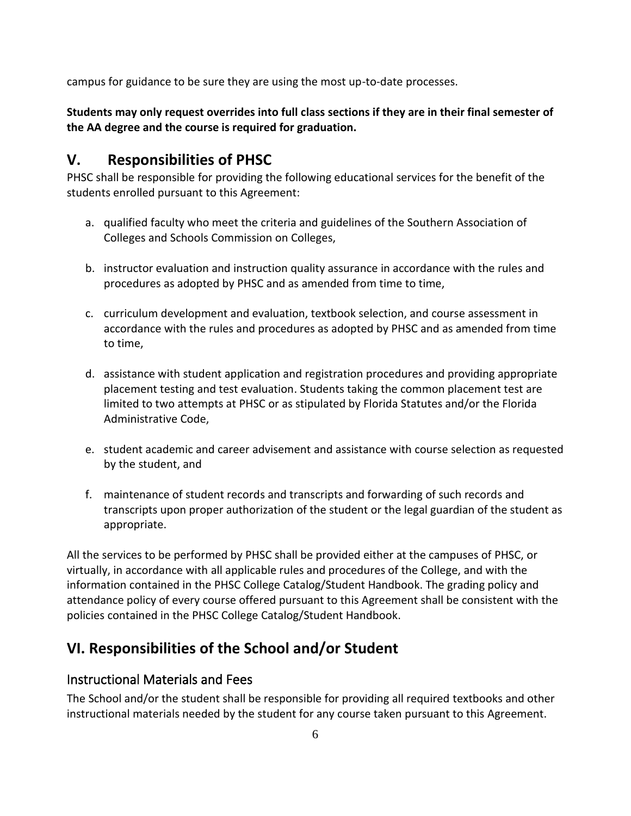campus for guidance to be sure they are using the most up-to-date processes.

**Students may only request overrides into full class sections if they are in their final semester of the AA degree and the course is required for graduation.**

## **V. Responsibilities of PHSC**

PHSC shall be responsible for providing the following educational services for the benefit of the students enrolled pursuant to this Agreement:

- a. qualified faculty who meet the criteria and guidelines of the Southern Association of Colleges and Schools Commission on Colleges,
- b. instructor evaluation and instruction quality assurance in accordance with the rules and procedures as adopted by PHSC and as amended from time to time,
- c. curriculum development and evaluation, textbook selection, and course assessment in accordance with the rules and procedures as adopted by PHSC and as amended from time to time,
- d. assistance with student application and registration procedures and providing appropriate placement testing and test evaluation. Students taking the common placement test are limited to two attempts at PHSC or as stipulated by Florida Statutes and/or the Florida Administrative Code,
- e. student academic and career advisement and assistance with course selection as requested by the student, and
- f. maintenance of student records and transcripts and forwarding of such records and transcripts upon proper authorization of the student or the legal guardian of the student as appropriate.

All the services to be performed by PHSC shall be provided either at the campuses of PHSC, or virtually, in accordance with all applicable rules and procedures of the College, and with the information contained in the PHSC College Catalog/Student Handbook. The grading policy and attendance policy of every course offered pursuant to this Agreement shall be consistent with the policies contained in the PHSC College Catalog/Student Handbook.

## **VI. Responsibilities of the School and/or Student**

### Instructional Materials and Fees

The School and/or the student shall be responsible for providing all required textbooks and other instructional materials needed by the student for any course taken pursuant to this Agreement.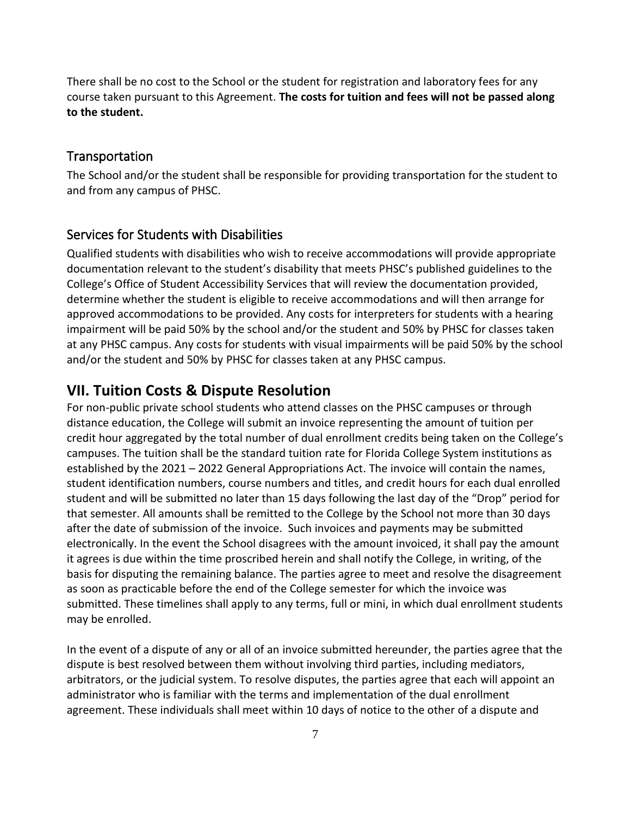There shall be no cost to the School or the student for registration and laboratory fees for any course taken pursuant to this Agreement. **The costs for tuition and fees will not be passed along to the student.**

#### Transportation

The School and/or the student shall be responsible for providing transportation for the student to and from any campus of PHSC.

#### Services for Students with Disabilities

Qualified students with disabilities who wish to receive accommodations will provide appropriate documentation relevant to the student's disability that meets PHSC's published guidelines to the College's Office of Student Accessibility Services that will review the documentation provided, determine whether the student is eligible to receive accommodations and will then arrange for approved accommodations to be provided. Any costs for interpreters for students with a hearing impairment will be paid 50% by the school and/or the student and 50% by PHSC for classes taken at any PHSC campus. Any costs for students with visual impairments will be paid 50% by the school and/or the student and 50% by PHSC for classes taken at any PHSC campus.

### **VII. Tuition Costs & Dispute Resolution**

For non-public private school students who attend classes on the PHSC campuses or through distance education, the College will submit an invoice representing the amount of tuition per credit hour aggregated by the total number of dual enrollment credits being taken on the College's campuses. The tuition shall be the standard tuition rate for Florida College System institutions as established by the 2021 – 2022 General Appropriations Act. The invoice will contain the names, student identification numbers, course numbers and titles, and credit hours for each dual enrolled student and will be submitted no later than 15 days following the last day of the "Drop" period for that semester. All amounts shall be remitted to the College by the School not more than 30 days after the date of submission of the invoice. Such invoices and payments may be submitted electronically. In the event the School disagrees with the amount invoiced, it shall pay the amount it agrees is due within the time proscribed herein and shall notify the College, in writing, of the basis for disputing the remaining balance. The parties agree to meet and resolve the disagreement as soon as practicable before the end of the College semester for which the invoice was submitted. These timelines shall apply to any terms, full or mini, in which dual enrollment students may be enrolled.

In the event of a dispute of any or all of an invoice submitted hereunder, the parties agree that the dispute is best resolved between them without involving third parties, including mediators, arbitrators, or the judicial system. To resolve disputes, the parties agree that each will appoint an administrator who is familiar with the terms and implementation of the dual enrollment agreement. These individuals shall meet within 10 days of notice to the other of a dispute and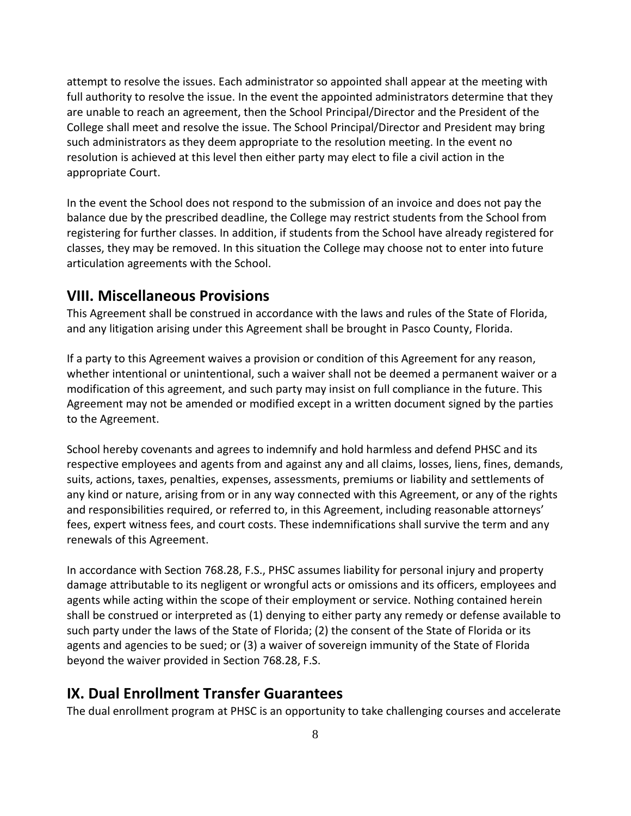attempt to resolve the issues. Each administrator so appointed shall appear at the meeting with full authority to resolve the issue. In the event the appointed administrators determine that they are unable to reach an agreement, then the School Principal/Director and the President of the College shall meet and resolve the issue. The School Principal/Director and President may bring such administrators as they deem appropriate to the resolution meeting. In the event no resolution is achieved at this level then either party may elect to file a civil action in the appropriate Court.

In the event the School does not respond to the submission of an invoice and does not pay the balance due by the prescribed deadline, the College may restrict students from the School from registering for further classes. In addition, if students from the School have already registered for classes, they may be removed. In this situation the College may choose not to enter into future articulation agreements with the School.

### **VIII. Miscellaneous Provisions**

This Agreement shall be construed in accordance with the laws and rules of the State of Florida, and any litigation arising under this Agreement shall be brought in Pasco County, Florida.

If a party to this Agreement waives a provision or condition of this Agreement for any reason, whether intentional or unintentional, such a waiver shall not be deemed a permanent waiver or a modification of this agreement, and such party may insist on full compliance in the future. This Agreement may not be amended or modified except in a written document signed by the parties to the Agreement.

School hereby covenants and agrees to indemnify and hold harmless and defend PHSC and its respective employees and agents from and against any and all claims, losses, liens, fines, demands, suits, actions, taxes, penalties, expenses, assessments, premiums or liability and settlements of any kind or nature, arising from or in any way connected with this Agreement, or any of the rights and responsibilities required, or referred to, in this Agreement, including reasonable attorneys' fees, expert witness fees, and court costs. These indemnifications shall survive the term and any renewals of this Agreement.

In accordance with Section 768.28, F.S., PHSC assumes liability for personal injury and property damage attributable to its negligent or wrongful acts or omissions and its officers, employees and agents while acting within the scope of their employment or service. Nothing contained herein shall be construed or interpreted as (1) denying to either party any remedy or defense available to such party under the laws of the State of Florida; (2) the consent of the State of Florida or its agents and agencies to be sued; or (3) a waiver of sovereign immunity of the State of Florida beyond the waiver provided in Section 768.28, F.S.

### **IX. Dual Enrollment Transfer Guarantees**

The dual enrollment program at PHSC is an opportunity to take challenging courses and accelerate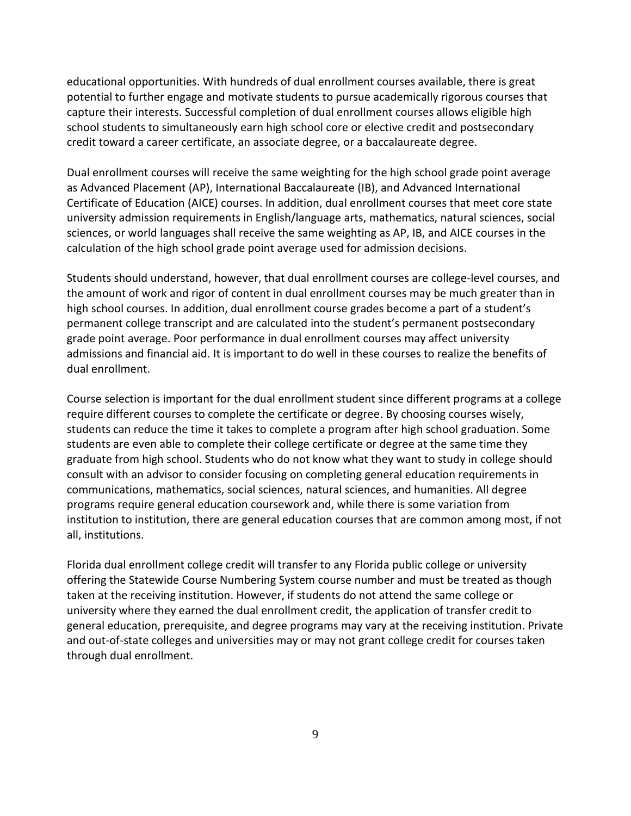educational opportunities. With hundreds of dual enrollment courses available, there is great potential to further engage and motivate students to pursue academically rigorous courses that capture their interests. Successful completion of dual enrollment courses allows eligible high school students to simultaneously earn high school core or elective credit and postsecondary credit toward a career certificate, an associate degree, or a baccalaureate degree.

Dual enrollment courses will receive the same weighting for the high school grade point average as Advanced Placement (AP), International Baccalaureate (IB), and Advanced International Certificate of Education (AICE) courses. In addition, dual enrollment courses that meet core state university admission requirements in English/language arts, mathematics, natural sciences, social sciences, or world languages shall receive the same weighting as AP, IB, and AICE courses in the calculation of the high school grade point average used for admission decisions.

Students should understand, however, that dual enrollment courses are college‐level courses, and the amount of work and rigor of content in dual enrollment courses may be much greater than in high school courses. In addition, dual enrollment course grades become a part of a student's permanent college transcript and are calculated into the student's permanent postsecondary grade point average. Poor performance in dual enrollment courses may affect university admissions and financial aid. It is important to do well in these courses to realize the benefits of dual enrollment.

Course selection is important for the dual enrollment student since different programs at a college require different courses to complete the certificate or degree. By choosing courses wisely, students can reduce the time it takes to complete a program after high school graduation. Some students are even able to complete their college certificate or degree at the same time they graduate from high school. Students who do not know what they want to study in college should consult with an advisor to consider focusing on completing general education requirements in communications, mathematics, social sciences, natural sciences, and humanities. All degree programs require general education coursework and, while there is some variation from institution to institution, there are general education courses that are common among most, if not all, institutions.

Florida dual enrollment college credit will transfer to any Florida public college or university offering the Statewide Course Numbering System course number and must be treated as though taken at the receiving institution. However, if students do not attend the same college or university where they earned the dual enrollment credit, the application of transfer credit to general education, prerequisite, and degree programs may vary at the receiving institution. Private and out-of-state colleges and universities may or may not grant college credit for courses taken through dual enrollment.